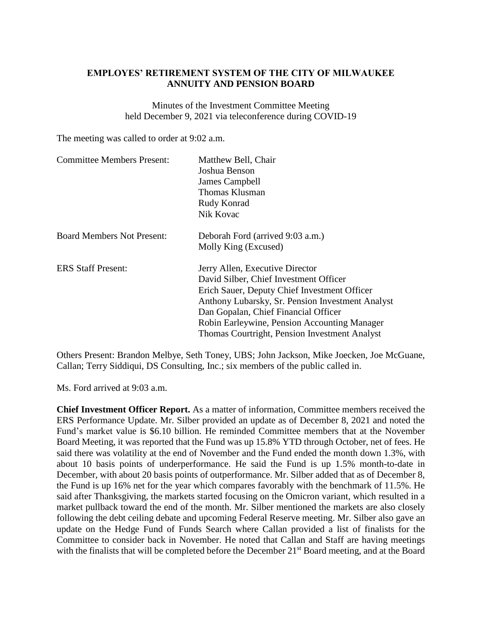## **EMPLOYES' RETIREMENT SYSTEM OF THE CITY OF MILWAUKEE ANNUITY AND PENSION BOARD**

Minutes of the Investment Committee Meeting held December 9, 2021 via teleconference during COVID-19

The meeting was called to order at 9:02 a.m.

| <b>Committee Members Present:</b> | Matthew Bell, Chair                              |
|-----------------------------------|--------------------------------------------------|
|                                   | Joshua Benson                                    |
|                                   | James Campbell                                   |
|                                   | Thomas Klusman                                   |
|                                   | Rudy Konrad                                      |
|                                   | Nik Kovac                                        |
| <b>Board Members Not Present:</b> | Deborah Ford (arrived 9:03 a.m.)                 |
|                                   | Molly King (Excused)                             |
| <b>ERS</b> Staff Present:         | Jerry Allen, Executive Director                  |
|                                   | David Silber, Chief Investment Officer           |
|                                   | Erich Sauer, Deputy Chief Investment Officer     |
|                                   | Anthony Lubarsky, Sr. Pension Investment Analyst |
|                                   | Dan Gopalan, Chief Financial Officer             |
|                                   | Robin Earleywine, Pension Accounting Manager     |
|                                   | Thomas Courtright, Pension Investment Analyst    |

Others Present: Brandon Melbye, Seth Toney, UBS; John Jackson, Mike Joecken, Joe McGuane, Callan; Terry Siddiqui, DS Consulting, Inc.; six members of the public called in.

Ms. Ford arrived at 9:03 a.m.

**Chief Investment Officer Report.** As a matter of information, Committee members received the ERS Performance Update. Mr. Silber provided an update as of December 8, 2021 and noted the Fund's market value is \$6.10 billion. He reminded Committee members that at the November Board Meeting, it was reported that the Fund was up 15.8% YTD through October, net of fees. He said there was volatility at the end of November and the Fund ended the month down 1.3%, with about 10 basis points of underperformance. He said the Fund is up 1.5% month-to-date in December, with about 20 basis points of outperformance. Mr. Silber added that as of December 8, the Fund is up 16% net for the year which compares favorably with the benchmark of 11.5%. He said after Thanksgiving, the markets started focusing on the Omicron variant, which resulted in a market pullback toward the end of the month. Mr. Silber mentioned the markets are also closely following the debt ceiling debate and upcoming Federal Reserve meeting. Mr. Silber also gave an update on the Hedge Fund of Funds Search where Callan provided a list of finalists for the Committee to consider back in November. He noted that Callan and Staff are having meetings with the finalists that will be completed before the December 21<sup>st</sup> Board meeting, and at the Board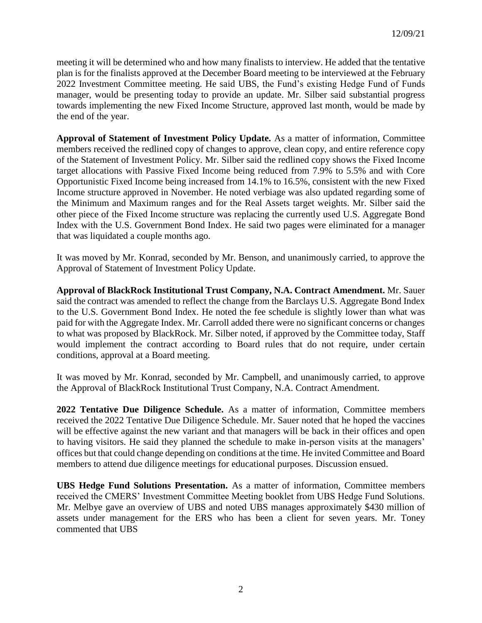meeting it will be determined who and how many finalists to interview. He added that the tentative plan is for the finalists approved at the December Board meeting to be interviewed at the February 2022 Investment Committee meeting. He said UBS, the Fund's existing Hedge Fund of Funds manager, would be presenting today to provide an update. Mr. Silber said substantial progress towards implementing the new Fixed Income Structure, approved last month, would be made by the end of the year.

**Approval of Statement of Investment Policy Update.** As a matter of information, Committee members received the redlined copy of changes to approve, clean copy, and entire reference copy of the Statement of Investment Policy. Mr. Silber said the redlined copy shows the Fixed Income target allocations with Passive Fixed Income being reduced from 7.9% to 5.5% and with Core Opportunistic Fixed Income being increased from 14.1% to 16.5%, consistent with the new Fixed Income structure approved in November. He noted verbiage was also updated regarding some of the Minimum and Maximum ranges and for the Real Assets target weights. Mr. Silber said the other piece of the Fixed Income structure was replacing the currently used U.S. Aggregate Bond Index with the U.S. Government Bond Index. He said two pages were eliminated for a manager that was liquidated a couple months ago.

It was moved by Mr. Konrad, seconded by Mr. Benson, and unanimously carried, to approve the Approval of Statement of Investment Policy Update.

**Approval of BlackRock Institutional Trust Company, N.A. Contract Amendment.** Mr. Sauer said the contract was amended to reflect the change from the Barclays U.S. Aggregate Bond Index to the U.S. Government Bond Index. He noted the fee schedule is slightly lower than what was paid for with the Aggregate Index. Mr. Carroll added there were no significant concerns or changes to what was proposed by BlackRock. Mr. Silber noted, if approved by the Committee today, Staff would implement the contract according to Board rules that do not require, under certain conditions, approval at a Board meeting.

It was moved by Mr. Konrad, seconded by Mr. Campbell, and unanimously carried, to approve the Approval of BlackRock Institutional Trust Company, N.A. Contract Amendment.

**2022 Tentative Due Diligence Schedule.** As a matter of information, Committee members received the 2022 Tentative Due Diligence Schedule. Mr. Sauer noted that he hoped the vaccines will be effective against the new variant and that managers will be back in their offices and open to having visitors. He said they planned the schedule to make in-person visits at the managers' offices but that could change depending on conditions at the time. He invited Committee and Board members to attend due diligence meetings for educational purposes. Discussion ensued.

**UBS Hedge Fund Solutions Presentation.** As a matter of information, Committee members received the CMERS' Investment Committee Meeting booklet from UBS Hedge Fund Solutions. Mr. Melbye gave an overview of UBS and noted UBS manages approximately \$430 million of assets under management for the ERS who has been a client for seven years. Mr. Toney commented that UBS